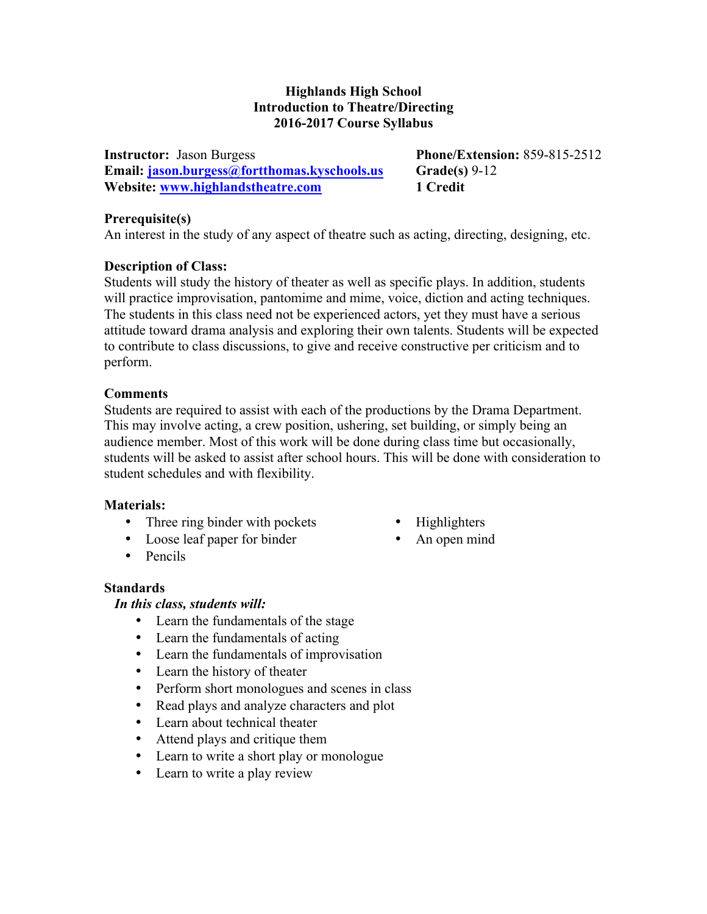### **Highlands High School Introduction to Theatre/Directing 2016-2017 Course Syllabus**

**Instructor:** Jason Burgess **Phone/Extension:** 859-815-2512 **Email: jason.burgess@fortthomas.kyschools.us Grade(s)** 9-12 **Website: www.highlandstheatre.com 1 Credit** 

### **Prerequisite(s)**

An interest in the study of any aspect of theatre such as acting, directing, designing, etc.

### **Description of Class:**

Students will study the history of theater as well as specific plays. In addition, students will practice improvisation, pantomime and mime, voice, diction and acting techniques. The students in this class need not be experienced actors, yet they must have a serious attitude toward drama analysis and exploring their own talents. Students will be expected to contribute to class discussions, to give and receive constructive per criticism and to perform.

### **Comments**

Students are required to assist with each of the productions by the Drama Department. This may involve acting, a crew position, ushering, set building, or simply being an audience member. Most of this work will be done during class time but occasionally, students will be asked to assist after school hours. This will be done with consideration to student schedules and with flexibility.

### **Materials:**

- Three ring binder with pockets
- Loose leaf paper for binder
- Pencils

# **Standards**

### *In this class, students will:*

- Learn the fundamentals of the stage
- Learn the fundamentals of acting
- Learn the fundamentals of improvisation
- Learn the history of theater
- Perform short monologues and scenes in class
- Read plays and analyze characters and plot
- Learn about technical theater
- Attend plays and critique them
- Learn to write a short play or monologue
- Learn to write a play review
- Highlighters
- An open mind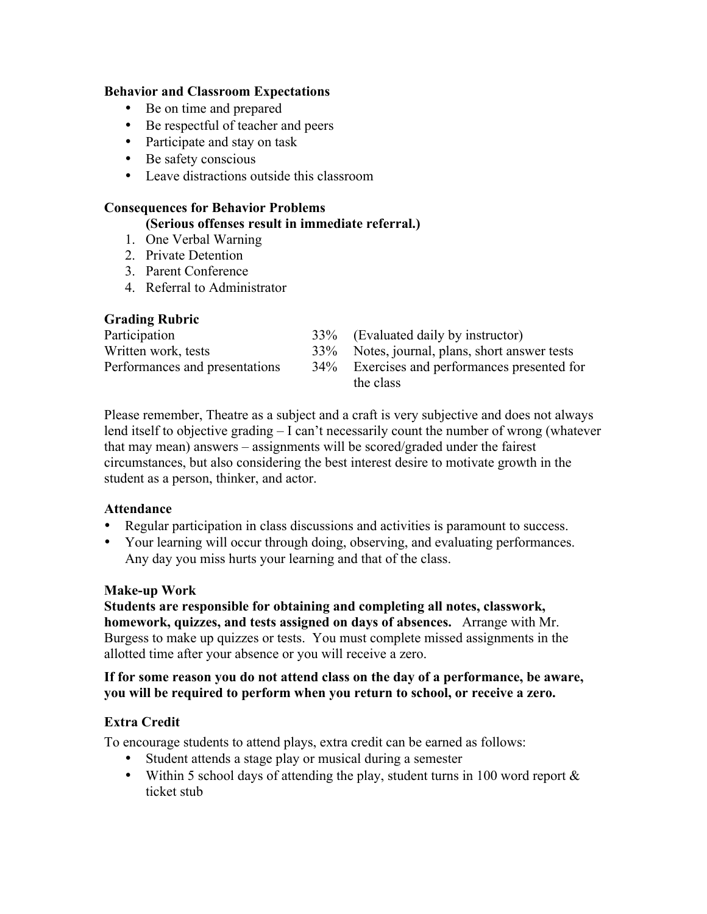### **Behavior and Classroom Expectations**

- Be on time and prepared
- Be respectful of teacher and peers
- Participate and stay on task
- Be safety conscious
- Leave distractions outside this classroom

# **Consequences for Behavior Problems**

- **(Serious offenses result in immediate referral.)**
- 1. One Verbal Warning
- 2. Private Detention
- 3. Parent Conference
- 4. Referral to Administrator

# **Grading Rubric**

| Participation                  | 33% (Evaluated daily by instructor)           |
|--------------------------------|-----------------------------------------------|
| Written work, tests            | 33% Notes, journal, plans, short answer tests |
| Performances and presentations | 34% Exercises and performances presented for  |
|                                | the class                                     |

Please remember, Theatre as a subject and a craft is very subjective and does not always lend itself to objective grading – I can't necessarily count the number of wrong (whatever that may mean) answers – assignments will be scored/graded under the fairest circumstances, but also considering the best interest desire to motivate growth in the student as a person, thinker, and actor.

# **Attendance**

- Regular participation in class discussions and activities is paramount to success.
- Your learning will occur through doing, observing, and evaluating performances. Any day you miss hurts your learning and that of the class.

# **Make-up Work**

**Students are responsible for obtaining and completing all notes, classwork, homework, quizzes, and tests assigned on days of absences.** Arrange with Mr. Burgess to make up quizzes or tests. You must complete missed assignments in the allotted time after your absence or you will receive a zero.

### **If for some reason you do not attend class on the day of a performance, be aware, you will be required to perform when you return to school, or receive a zero.**

# **Extra Credit**

To encourage students to attend plays, extra credit can be earned as follows:

- Student attends a stage play or musical during a semester
- Within 5 school days of attending the play, student turns in 100 word report  $\&$ ticket stub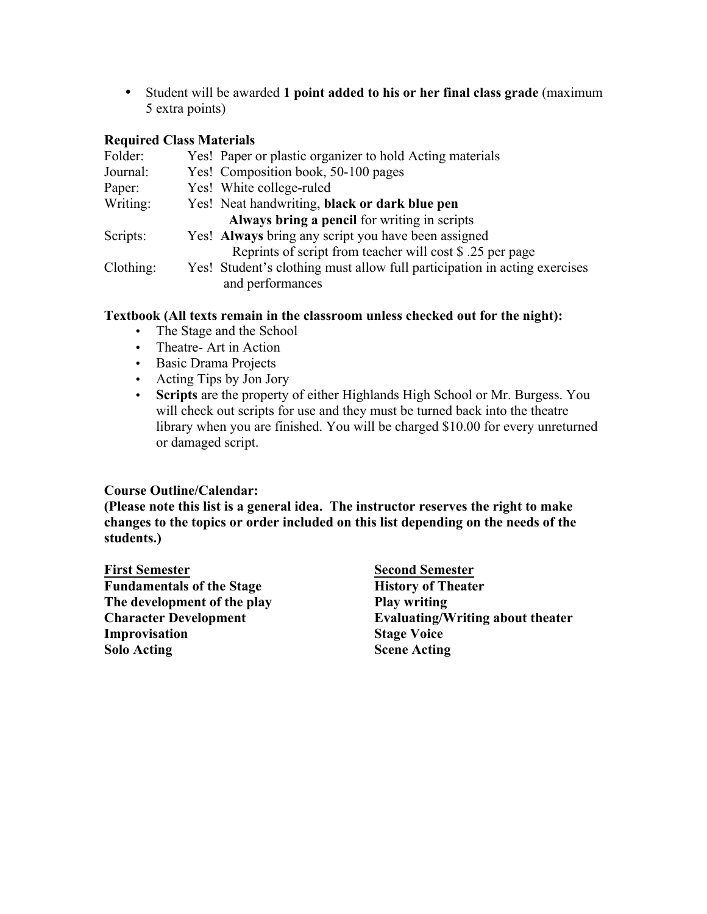• Student will be awarded **1 point added to his or her final class grade** (maximum 5 extra points)

### **Required Class Materials**

| Folder:   | Yes! Paper or plastic organizer to hold Acting materials                  |
|-----------|---------------------------------------------------------------------------|
| Journal:  | Yes! Composition book, 50-100 pages                                       |
| Paper:    | Yes! White college-ruled                                                  |
| Writing:  | Yes! Neat handwriting, black or dark blue pen                             |
|           | Always bring a pencil for writing in scripts                              |
| Scripts:  | Yes! Always bring any script you have been assigned                       |
|           | Reprints of script from teacher will cost \$ .25 per page                 |
| Clothing: | Yes! Student's clothing must allow full participation in acting exercises |
|           | and performances                                                          |

### **Textbook (All texts remain in the classroom unless checked out for the night):**

- The Stage and the School
- Theatre- Art in Action
- Basic Drama Projects
- Acting Tips by Jon Jory
- **Scripts** are the property of either Highlands High School or Mr. Burgess. You will check out scripts for use and they must be turned back into the theatre library when you are finished. You will be charged \$10.00 for every unreturned or damaged script.

### **Course Outline/Calendar:**

**(Please note this list is a general idea. The instructor reserves the right to make changes to the topics or order included on this list depending on the needs of the students.)**

**First Semester Fundamentals of the Stage The development of the play Character Development Improvisation Solo Acting** 

**Second Semester History of Theater Play writing Evaluating/Writing about theater Stage Voice Scene Acting**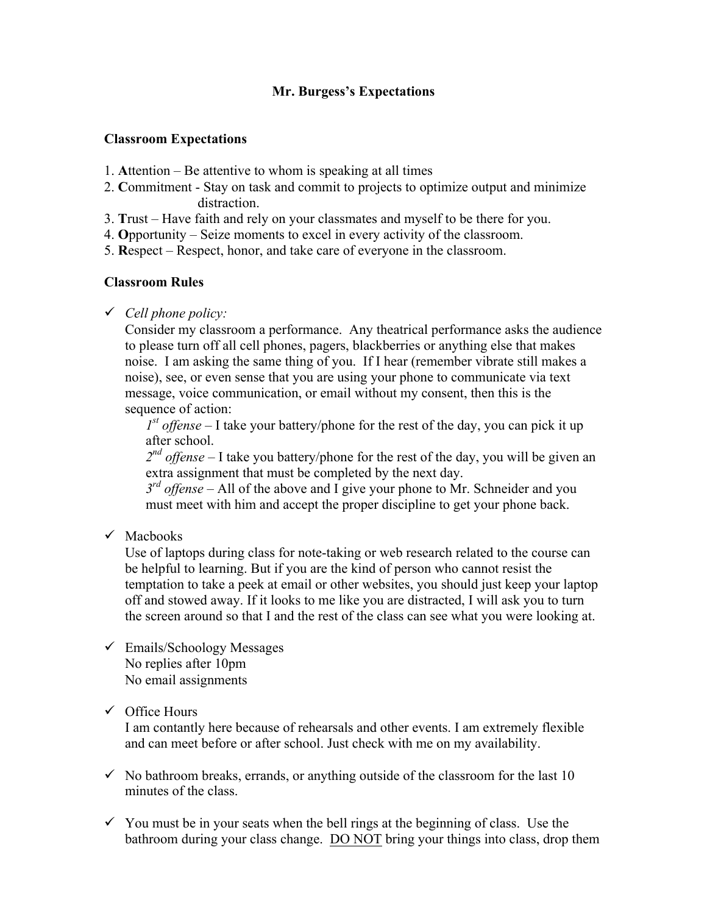# **Mr. Burgess's Expectations**

### **Classroom Expectations**

- 1. **A**ttention Be attentive to whom is speaking at all times
- 2. **C**ommitment Stay on task and commit to projects to optimize output and minimize distraction.
- 3. **T**rust Have faith and rely on your classmates and myself to be there for you.
- 4. **O**pportunity Seize moments to excel in every activity of the classroom.
- 5. **R**espect Respect, honor, and take care of everyone in the classroom.

### **Classroom Rules**

ü *Cell phone policy:*

Consider my classroom a performance. Any theatrical performance asks the audience to please turn off all cell phones, pagers, blackberries or anything else that makes noise. I am asking the same thing of you. If I hear (remember vibrate still makes a noise), see, or even sense that you are using your phone to communicate via text message, voice communication, or email without my consent, then this is the sequence of action:

 $I<sup>st</sup>$  *offense* – I take your battery/phone for the rest of the day, you can pick it up after school.

*2nd offense* – I take you battery/phone for the rest of the day, you will be given an extra assignment that must be completed by the next day.

*3<sup>rd</sup> offense* – All of the above and I give your phone to Mr. Schneider and you must meet with him and accept the proper discipline to get your phone back.

 $\checkmark$  Machooks

Use of laptops during class for note-taking or web research related to the course can be helpful to learning. But if you are the kind of person who cannot resist the temptation to take a peek at email or other websites, you should just keep your laptop off and stowed away. If it looks to me like you are distracted, I will ask you to turn the screen around so that I and the rest of the class can see what you were looking at.

 $\checkmark$  Emails/Schoology Messages No replies after 10pm No email assignments

# $\checkmark$  Office Hours

I am contantly here because of rehearsals and other events. I am extremely flexible and can meet before or after school. Just check with me on my availability.

- $\checkmark$  No bathroom breaks, errands, or anything outside of the classroom for the last 10 minutes of the class.
- $\checkmark$  You must be in your seats when the bell rings at the beginning of class. Use the bathroom during your class change. DO NOT bring your things into class, drop them